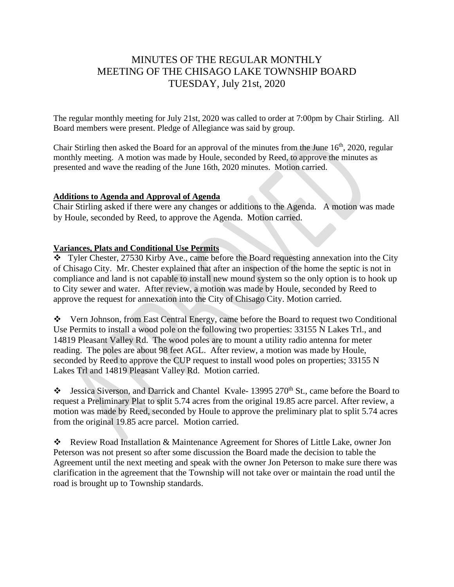# MINUTES OF THE REGULAR MONTHLY MEETING OF THE CHISAGO LAKE TOWNSHIP BOARD TUESDAY, July 21st, 2020

The regular monthly meeting for July 21st, 2020 was called to order at 7:00pm by Chair Stirling. All Board members were present. Pledge of Allegiance was said by group.

Chair Stirling then asked the Board for an approval of the minutes from the June  $16<sup>th</sup>$ , 2020, regular monthly meeting. A motion was made by Houle, seconded by Reed, to approve the minutes as presented and wave the reading of the June 16th, 2020 minutes. Motion carried.

### **Additions to Agenda and Approval of Agenda**

Chair Stirling asked if there were any changes or additions to the Agenda. A motion was made by Houle, seconded by Reed, to approve the Agenda. Motion carried.

## **Variances, Plats and Conditional Use Permits**

❖ Tyler Chester, 27530 Kirby Ave., came before the Board requesting annexation into the City of Chisago City. Mr. Chester explained that after an inspection of the home the septic is not in compliance and land is not capable to install new mound system so the only option is to hook up to City sewer and water. After review, a motion was made by Houle, seconded by Reed to approve the request for annexation into the City of Chisago City. Motion carried.

❖ Vern Johnson, from East Central Energy, came before the Board to request two Conditional Use Permits to install a wood pole on the following two properties: 33155 N Lakes Trl., and 14819 Pleasant Valley Rd. The wood poles are to mount a utility radio antenna for meter reading. The poles are about 98 feet AGL. After review, a motion was made by Houle, seconded by Reed to approve the CUP request to install wood poles on properties; 33155 N Lakes Trl and 14819 Pleasant Valley Rd. Motion carried.

❖ Jessica Siverson, and Darrick and Chantel Kvale- 13995 270th St., came before the Board to request a Preliminary Plat to split 5.74 acres from the original 19.85 acre parcel. After review, a motion was made by Reed, seconded by Houle to approve the preliminary plat to split 5.74 acres from the original 19.85 acre parcel. Motion carried.

❖ Review Road Installation & Maintenance Agreement for Shores of Little Lake, owner Jon Peterson was not present so after some discussion the Board made the decision to table the Agreement until the next meeting and speak with the owner Jon Peterson to make sure there was clarification in the agreement that the Township will not take over or maintain the road until the road is brought up to Township standards.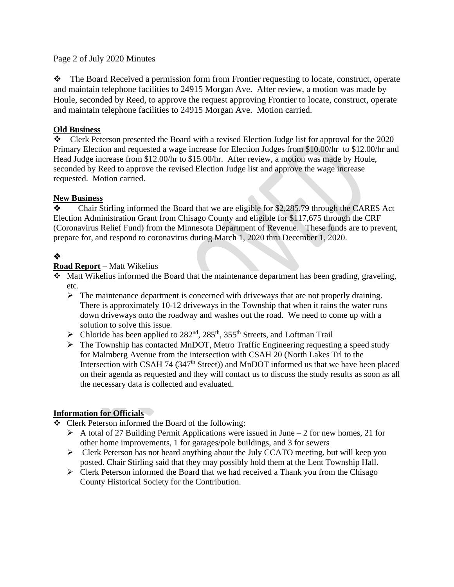### Page 2 of July 2020 Minutes

❖ The Board Received a permission form from Frontier requesting to locate, construct, operate and maintain telephone facilities to 24915 Morgan Ave. After review, a motion was made by Houle, seconded by Reed, to approve the request approving Frontier to locate, construct, operate and maintain telephone facilities to 24915 Morgan Ave. Motion carried.

### **Old Business**

❖ Clerk Peterson presented the Board with a revised Election Judge list for approval for the 2020 Primary Election and requested a wage increase for Election Judges from \$10.00/hr to \$12.00/hr and Head Judge increase from \$12.00/hr to \$15.00/hr. After review, a motion was made by Houle, seconded by Reed to approve the revised Election Judge list and approve the wage increase requested. Motion carried.

### **New Business**

❖ Chair Stirling informed the Board that we are eligible for \$2,285.79 through the CARES Act Election Administration Grant from Chisago County and eligible for \$117,675 through the CRF (Coronavirus Relief Fund) from the Minnesota Department of Revenue. These funds are to prevent, prepare for, and respond to coronavirus during March 1, 2020 thru December 1, 2020.

# ❖

## **Road Report** – Matt Wikelius

- ❖ Matt Wikelius informed the Board that the maintenance department has been grading, graveling, etc.
	- $\triangleright$  The maintenance department is concerned with driveways that are not properly draining. There is approximately 10-12 driveways in the Township that when it rains the water runs down driveways onto the roadway and washes out the road. We need to come up with a solution to solve this issue.
	- $\triangleright$  Chloride has been applied to 282<sup>nd</sup>, 285<sup>th</sup>, 355<sup>th</sup> Streets, and Loftman Trail
	- ➢ The Township has contacted MnDOT, Metro Traffic Engineering requesting a speed study for Malmberg Avenue from the intersection with CSAH 20 (North Lakes Trl to the Intersection with CSAH 74 (347<sup>th</sup> Street)) and MnDOT informed us that we have been placed on their agenda as requested and they will contact us to discuss the study results as soon as all the necessary data is collected and evaluated.

## **Information for Officials**

- ❖ Clerk Peterson informed the Board of the following:
	- $\triangleright$  A total of 27 Building Permit Applications were issued in June 2 for new homes, 21 for other home improvements, 1 for garages/pole buildings, and 3 for sewers
	- ➢ Clerk Peterson has not heard anything about the July CCATO meeting, but will keep you posted. Chair Stirling said that they may possibly hold them at the Lent Township Hall.
	- ➢ Clerk Peterson informed the Board that we had received a Thank you from the Chisago County Historical Society for the Contribution.